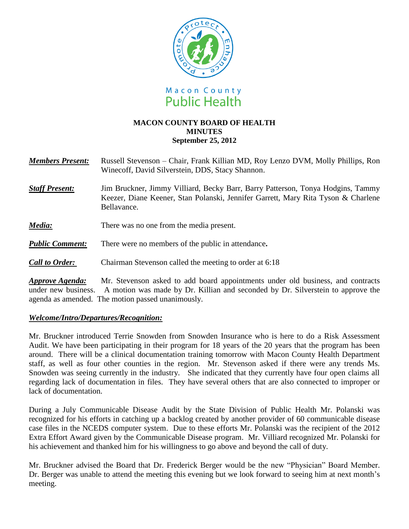

### **MACON COUNTY BOARD OF HEALTH MINUTES September 25, 2012**

| <b>Members Present:</b> | Russell Stevenson – Chair, Frank Killian MD, Roy Lenzo DVM, Molly Phillips, Ron |
|-------------------------|---------------------------------------------------------------------------------|
|                         | Winecoff, David Silverstein, DDS, Stacy Shannon.                                |
|                         |                                                                                 |

- *Staff Present:*Jim Bruckner, Jimmy Villiard, Becky Barr, Barry Patterson, Tonya Hodgins, Tammy Keezer, Diane Keener, Stan Polanski, Jennifer Garrett, Mary Rita Tyson & Charlene Bellavance.
- *Media:* There was no one from the media present.
- *Public Comment:* There were no members of the public in attendance**.**
- *Call to Order:* Chairman Stevenson called the meeting to order at 6:18

*Approve Agenda:* Mr. Stevenson asked to add board appointments under old business, and contracts under new business. A motion was made by Dr. Killian and seconded by Dr. Silverstein to approve the agenda as amended. The motion passed unanimously.

#### *Welcome/Intro/Departures/Recognition:*

Mr. Bruckner introduced Terrie Snowden from Snowden Insurance who is here to do a Risk Assessment Audit. We have been participating in their program for 18 years of the 20 years that the program has been around. There will be a clinical documentation training tomorrow with Macon County Health Department staff, as well as four other counties in the region. Mr. Stevenson asked if there were any trends Ms. Snowden was seeing currently in the industry. She indicated that they currently have four open claims all regarding lack of documentation in files. They have several others that are also connected to improper or lack of documentation.

During a July Communicable Disease Audit by the State Division of Public Health Mr. Polanski was recognized for his efforts in catching up a backlog created by another provider of 60 communicable disease case files in the NCEDS computer system. Due to these efforts Mr. Polanski was the recipient of the 2012 Extra Effort Award given by the Communicable Disease program. Mr. Villiard recognized Mr. Polanski for his achievement and thanked him for his willingness to go above and beyond the call of duty.

Mr. Bruckner advised the Board that Dr. Frederick Berger would be the new "Physician" Board Member. Dr. Berger was unable to attend the meeting this evening but we look forward to seeing him at next month's meeting.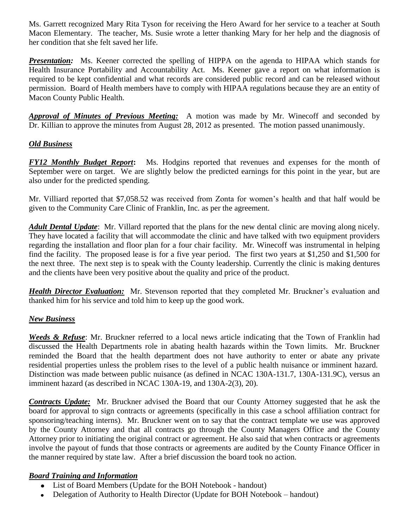Ms. Garrett recognized Mary Rita Tyson for receiving the Hero Award for her service to a teacher at South Macon Elementary. The teacher, Ms. Susie wrote a letter thanking Mary for her help and the diagnosis of her condition that she felt saved her life.

**Presentation:** Ms. Keener corrected the spelling of HIPPA on the agenda to HIPAA which stands for Health Insurance Portability and Accountability Act. Ms. Keener gave a report on what information is required to be kept confidential and what records are considered public record and can be released without permission. Board of Health members have to comply with HIPAA regulations because they are an entity of Macon County Public Health.

*Approval of Minutes of Previous Meeting:*A motion was made by Mr. Winecoff and seconded by Dr. Killian to approve the minutes from August 28, 2012 as presented. The motion passed unanimously.

# *Old Business*

*FY12 Monthly Budget Report***:** Ms. Hodgins reported that revenues and expenses for the month of September were on target. We are slightly below the predicted earnings for this point in the year, but are also under for the predicted spending.

Mr. Villiard reported that \$7,058.52 was received from Zonta for women's health and that half would be given to the Community Care Clinic of Franklin, Inc. as per the agreement.

*Adult Dental Update*: Mr. Villard reported that the plans for the new dental clinic are moving along nicely. They have located a facility that will accommodate the clinic and have talked with two equipment providers regarding the installation and floor plan for a four chair facility. Mr. Winecoff was instrumental in helping find the facility. The proposed lease is for a five year period. The first two years at \$1,250 and \$1,500 for the next three. The next step is to speak with the County leadership. Currently the clinic is making dentures and the clients have been very positive about the quality and price of the product.

*Health Director Evaluation:*Mr. Stevenson reported that they completed Mr. Bruckner's evaluation and thanked him for his service and told him to keep up the good work.

## *New Business*

*Weeds & Refuse*: Mr. Bruckner referred to a local news article indicating that the Town of Franklin had discussed the Health Departments role in abating health hazards within the Town limits. Mr. Bruckner reminded the Board that the health department does not have authority to enter or abate any private residential properties unless the problem rises to the level of a public health nuisance or imminent hazard. Distinction was made between public nuisance (as defined in NCAC 130A-131.7, 130A-131.9C), versus an imminent hazard (as described in NCAC 130A-19, and 130A-2(3), 20).

*Contracts Update:* Mr. Bruckner advised the Board that our County Attorney suggested that he ask the board for approval to sign contracts or agreements (specifically in this case a school affiliation contract for sponsoring/teaching interns). Mr. Bruckner went on to say that the contract template we use was approved by the County Attorney and that all contracts go through the County Managers Office and the County Attorney prior to initiating the original contract or agreement. He also said that when contracts or agreements involve the payout of funds that those contracts or agreements are audited by the County Finance Officer in the manner required by state law. After a brief discussion the board took no action.

## *Board Training and Information*

- List of Board Members (Update for the BOH Notebook handout)
- Delegation of Authority to Health Director (Update for BOH Notebook handout)